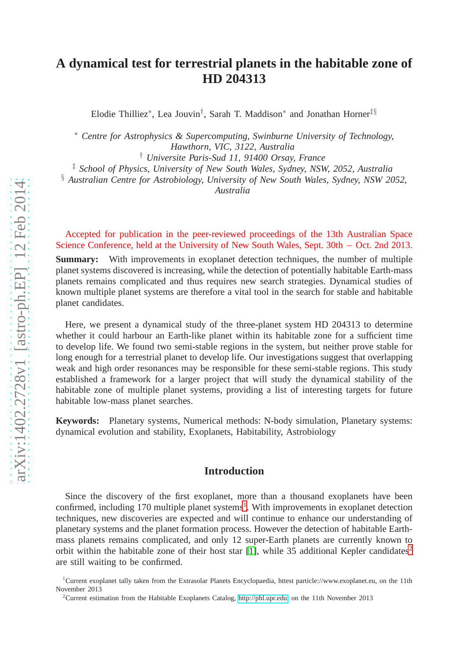# **A dynamical test for terrestrial planets in the habitable zone of HD 204313**

Elodie Thilliez<sup>∗</sup> , Lea Jouvin† , Sarah T. Maddison<sup>∗</sup> and Jonathan Horner‡§

<sup>∗</sup> *Centre for Astrophysics & Supercomputing, Swinburne University of Technology, Hawthorn, VIC, 3122, Australia*

† *Universite Paris-Sud 11, 91400 Orsay, France*

‡ *School of Physics, University of New South Wales, Sydney, NSW, 2052, Australia*

§ *Australian Centre for Astrobiology, University of New South Wales, Sydney, NSW 2052,*

*Australia*

Accepted for publication in the peer-reviewed proceedings of the 13th Australian Space Science Conference, held at the University of New South Wales, Sept. 30th − Oct. 2nd 2013.

**Summary:** With improvements in exoplanet detection techniques, the number of multiple planet systems discovered is increasing, while the detection of potentially habitable Earth-mass planets remains complicated and thus requires new search strategies. Dynamical studies of known multiple planet systems are therefore a vital tool in the search for stable and habitable planet candidates.

Here, we present a dynamical study of the three-planet system HD 204313 to determine whether it could harbour an Earth-like planet within its habitable zone for a sufficient time to develop life. We found two semi-stable regions in the system, but neither prove stable for long enough for a terrestrial planet to develop life. Our investigations suggest that overlapping weak and high order resonances may be responsible for these semi-stable regions. This study established a framework for a larger project that will study the dynamical stability of the habitable zone of multiple planet systems, providing a list of interesting targets for future habitable low-mass planet searches.

**Keywords:** Planetary systems, Numerical methods: N-body simulation, Planetary systems: dynamical evolution and stability, Exoplanets, Habitability, Astrobiology

### **Introduction**

Since the discovery of the first exoplanet, more than a thousand exoplanets have been confirmed, including [1](#page-0-0)70 multiple planet systems<sup>1</sup>. With improvements in exoplanet detection techniques, new discoveries are expected and will continue to enhance our understanding of planetary systems and the planet formation process. However the detection of habitable Earthmass planets remains complicated, and only 12 super-Earth planets are currently known to orbit within the habitable zone of their host star [\[1\]](#page-10-0), while 35 additional Kepler candidates<sup>[2](#page-0-1)</sup> are still waiting to be confirmed.

<sup>1</sup>Current exoplanet tally taken from the Extrasolar Planets Encyclopaedia, httest particle://www.exoplanet.eu, on the 11th November 2013

<span id="page-0-1"></span><span id="page-0-0"></span><sup>2</sup>Current estimation from the Habitable Exoplanets Catalog, [http://phl.upr.edu,](http://phl.upr.edu) on the 11th November 2013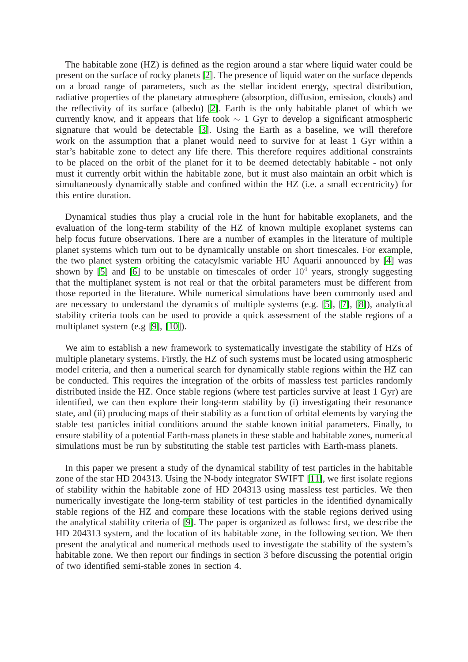The habitable zone (HZ) is defined as the region around a star where liquid water could be present on the surface of rocky planets [\[2\]](#page-10-1). The presence of liquid water on the surface depends on a broad range of parameters, such as the stellar incident energy, spectral distribution, radiative properties of the planetary atmosphere (absorption, diffusion, emission, clouds) and the reflectivity of its surface (albedo) [\[2\]](#page-10-1). Earth is the only habitable planet of which we currently know, and it appears that life took  $\sim 1$  Gyr to develop a significant atmospheric signature that would be detectable [\[3\]](#page-10-2). Using the Earth as a baseline, we will therefore work on the assumption that a planet would need to survive for at least 1 Gyr within a star's habitable zone to detect any life there. This therefore requires additional constraints to be placed on the orbit of the planet for it to be deemed detectably habitable - not only must it currently orbit within the habitable zone, but it must also maintain an orbit which is simultaneously dynamically stable and confined within the HZ (i.e. a small eccentricity) for this entire duration.

Dynamical studies thus play a crucial role in the hunt for habitable exoplanets, and the evaluation of the long-term stability of the HZ of known multiple exoplanet systems can help focus future observations. There are a number of examples in the literature of multiple planet systems which turn out to be dynamically unstable on short timescales. For example, the two planet system orbiting the catacylsmic variable HU Aquarii announced by [\[4\]](#page-10-3) was shown by [\[5\]](#page-10-4) and [\[6\]](#page-10-5) to be unstable on timescales of order  $10<sup>4</sup>$  years, strongly suggesting that the multiplanet system is not real or that the orbital parameters must be different from those reported in the literature. While numerical simulations have been commonly used and are necessary to understand the dynamics of multiple systems (e.g. [\[5\]](#page-10-4), [\[7\]](#page-10-6), [\[8\]](#page-10-7)), analytical stability criteria tools can be used to provide a quick assessment of the stable regions of a multiplanet system (e.g [\[9\]](#page-10-8), [\[10\]](#page-11-0)).

We aim to establish a new framework to systematically investigate the stability of HZs of multiple planetary systems. Firstly, the HZ of such systems must be located using atmospheric model criteria, and then a numerical search for dynamically stable regions within the HZ can be conducted. This requires the integration of the orbits of massless test particles randomly distributed inside the HZ. Once stable regions (where test particles survive at least 1 Gyr) are identified, we can then explore their long-term stability by (i) investigating their resonance state, and (ii) producing maps of their stability as a function of orbital elements by varying the stable test particles initial conditions around the stable known initial parameters. Finally, to ensure stability of a potential Earth-mass planets in these stable and habitable zones, numerical simulations must be run by substituting the stable test particles with Earth-mass planets.

In this paper we present a study of the dynamical stability of test particles in the habitable zone of the star HD 204313. Using the N-body integrator SWIFT [\[11\]](#page-11-1), we first isolate regions of stability within the habitable zone of HD 204313 using massless test particles. We then numerically investigate the long-term stability of test particles in the identified dynamically stable regions of the HZ and compare these locations with the stable regions derived using the analytical stability criteria of [\[9\]](#page-10-8). The paper is organized as follows: first, we describe the HD 204313 system, and the location of its habitable zone, in the following section. We then present the analytical and numerical methods used to investigate the stability of the system's habitable zone. We then report our findings in section 3 before discussing the potential origin of two identified semi-stable zones in section 4.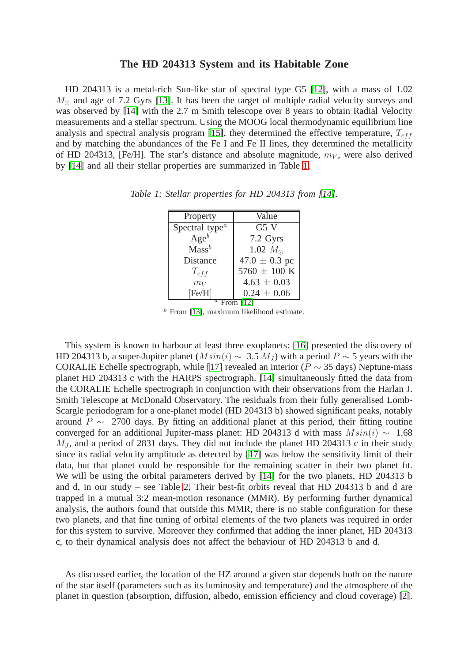# **The HD 204313 System and its Habitable Zone**

HD 204313 is a metal-rich Sun-like star of spectral type G5 [\[12\]](#page-11-2), with a mass of 1.02  $M_{\odot}$  and age of 7.2 Gyrs [\[13\]](#page-11-3). It has been the target of multiple radial velocity surveys and was observed by [\[14\]](#page-11-4) with the 2.7 m Smith telescope over 8 years to obtain Radial Velocity measurements and a stellar spectrum. Using the MOOG local thermodynamic equilibrium line analysis and spectral analysis program [\[15\]](#page-11-5), they determined the effective temperature,  $T_{eff}$ and by matching the abundances of the Fe I and Fe II lines, they determined the metallicity of HD 204313, [Fe/H]. The star's distance and absolute magnitude,  $m_V$ , were also derived by [\[14\]](#page-11-4) and all their stellar properties are summarized in Table [1.](#page-2-0)

<span id="page-2-0"></span>

| Property                            | Value             |  |  |  |  |  |  |
|-------------------------------------|-------------------|--|--|--|--|--|--|
| $\overline{\text{Spectral type}}^a$ | G5V               |  |  |  |  |  |  |
| $Age^b$                             | 7.2 Gyrs          |  |  |  |  |  |  |
| Mass <sup>b</sup>                   | 1.02 $M_{\odot}$  |  |  |  |  |  |  |
| <b>Distance</b>                     | $47.0 \pm 0.3$ pc |  |  |  |  |  |  |
| $T_{eff}$                           | 5760 $\pm$ 100 K  |  |  |  |  |  |  |
| $m_V$                               | $4.63 \pm 0.03$   |  |  |  |  |  |  |
| [Fe/H]                              | $0.24 \pm 0.06$   |  |  |  |  |  |  |
| $\it a$                             |                   |  |  |  |  |  |  |

*Table 1: Stellar properties for HD 204313 from [\[14\]](#page-11-4).*

 $<sup>b</sup>$  From [\[13\]](#page-11-3), maximum likelihood estimate.</sup>

This system is known to harbour at least three exoplanets: [\[16\]](#page-11-6) presented the discovery of HD 204313 b, a super-Jupiter planet ( $M\sin(i) \sim 3.5$  M<sub>J</sub>) with a period P ~ 5 years with the CORALIE Echelle spectrograph, while [\[17\]](#page-11-7) revealed an interior ( $P \sim 35$  days) Neptune-mass planet HD 204313 c with the HARPS spectrograph. [\[14\]](#page-11-4) simultaneously fitted the data from the CORALIE Echelle spectrograph in conjunction with their observations from the Harlan J. Smith Telescope at McDonald Observatory. The residuals from their fully generalised Lomb-Scargle periodogram for a one-planet model (HD 204313 b) showed significant peaks, notably around  $P \sim 2700$  days. By fitting an additional planet at this period, their fitting routine converged for an additional Jupiter-mass planet: HD 204313 d with mass  $M\sin(i) \sim 1.68$  $M_J$ , and a period of 2831 days. They did not include the planet HD 204313 c in their study since its radial velocity amplitude as detected by [\[17\]](#page-11-7) was below the sensitivity limit of their data, but that planet could be responsible for the remaining scatter in their two planet fit. We will be using the orbital parameters derived by [\[14\]](#page-11-4) for the two planets, HD 204313 b and d, in our study – see Table [2.](#page-3-0) Their best-fit orbits reveal that HD 204313 b and d are trapped in a mutual 3:2 mean-motion resonance (MMR). By performing further dynamical analysis, the authors found that outside this MMR, there is no stable configuration for these two planets, and that fine tuning of orbital elements of the two planets was required in order for this system to survive. Moreover they confirmed that adding the inner planet, HD 204313 c, to their dynamical analysis does not affect the behaviour of HD 204313 b and d.

As discussed earlier, the location of the HZ around a given star depends both on the nature of the star itself (parameters such as its luminosity and temperature) and the atmosphere of the planet in question (absorption, diffusion, albedo, emission efficiency and cloud coverage) [\[2\]](#page-10-1).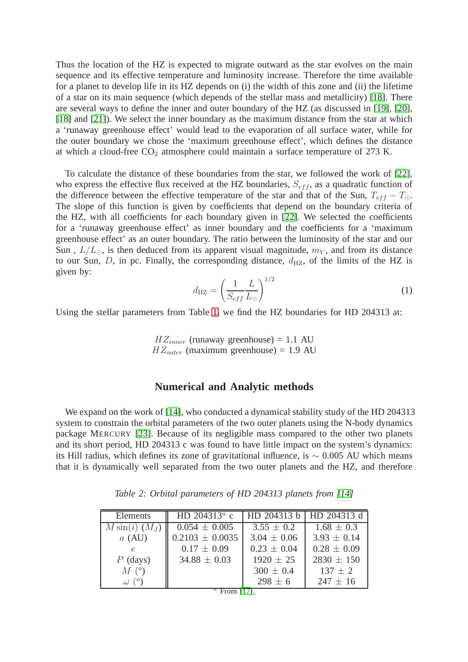Thus the location of the HZ is expected to migrate outward as the star evolves on the main sequence and its effective temperature and luminosity increase. Therefore the time available for a planet to develop life in its HZ depends on (i) the width of this zone and (ii) the lifetime of a star on its main sequence (which depends of the stellar mass and metallicity) [\[18\]](#page-11-8). There are several ways to define the inner and outer boundary of the HZ (as discussed in [\[19\]](#page-11-9), [\[20\]](#page-11-10), [\[18\]](#page-11-8) and [\[21\]](#page-11-11)). We select the inner boundary as the maximum distance from the star at which a 'runaway greenhouse effect' would lead to the evaporation of all surface water, while for the outer boundary we chose the 'maximum greenhouse effect', which defines the distance at which a cloud-free  $CO<sub>2</sub>$  atmosphere could maintain a surface temperature of 273 K.

To calculate the distance of these boundaries from the star, we followed the work of [\[22\]](#page-11-12), who express the effective flux received at the HZ boundaries,  $S_{eff}$ , as a quadratic function of the difference between the effective temperature of the star and that of the Sun,  $T_{eff} - T_{\odot}$ . The slope of this function is given by coefficients that depend on the boundary criteria of the HZ, with all coefficients for each boundary given in [\[22\]](#page-11-12). We selected the coefficients for a 'runaway greenhouse effect' as inner boundary and the coefficients for a 'maximum greenhouse effect' as an outer boundary. The ratio between the luminosity of the star and our Sun,  $L/L_{\odot}$ , is then deduced from its apparent visual magnitude,  $m_V$ , and from its distance to our Sun, D, in pc. Finally, the corresponding distance,  $d_{\rm HZ}$ , of the limits of the HZ is given by:  $1/2$ 

$$
d_{\rm HZ} = \left(\frac{1}{S_{eff}} \frac{L}{L_{\odot}}\right)^{1/2} \tag{1}
$$

Using the stellar parameters from Table [1,](#page-2-0) we find the HZ boundaries for HD 204313 at:

 $HZ_{inner}$  (runaway greenhouse) = 1.1 AU  $HZ_{outer}$  (maximum greenhouse) = 1.9 AU

# **Numerical and Analytic methods**

We expand on the work of [\[14\]](#page-11-4), who conducted a dynamical stability study of the HD 204313 system to constrain the orbital parameters of the two outer planets using the N-body dynamics package MERCURY [\[23\]](#page-11-13). Because of its negligible mass compared to the other two planets and its short period, HD 204313 c was found to have little impact on the system's dynamics: its Hill radius, which defines its zone of gravitational influence, is  $\sim 0.005$  AU which means that it is dynamically well separated from the two outer planets and the HZ, and therefore

| Elements               | HD 204313 $^a$ c    | HD 204313 b     | HD 204313 d     |
|------------------------|---------------------|-----------------|-----------------|
| $M\sin(i)$ $(M_J)$     | $0.054 \pm 0.005$   | $3.55 \pm 0.2$  | $1.68 \pm 0.3$  |
| $a$ (AU)               | $0.2103 \pm 0.0035$ | $3.04 \pm 0.06$ | $3.93 \pm 0.14$ |
| $\epsilon$             | $0.17 \pm 0.09$     | $0.23 \pm 0.04$ | $0.28 \pm 0.09$ |
| $P$ (days)             | $34.88 \pm 0.03$    | $1920 \pm 25$   | $2830 \pm 150$  |
| M <sup>o</sup>         |                     | $300 \pm 0.4$   | $137 \pm 2$     |
| $\omega$ ( $\degree$ ) |                     | $298 \pm 6$     | $247 \pm 16$    |

<span id="page-3-0"></span>*Table 2: Orbital parameters of HD 204313 planets from [\[14\]](#page-11-4)*

 $a$  From [\[17\]](#page-11-7).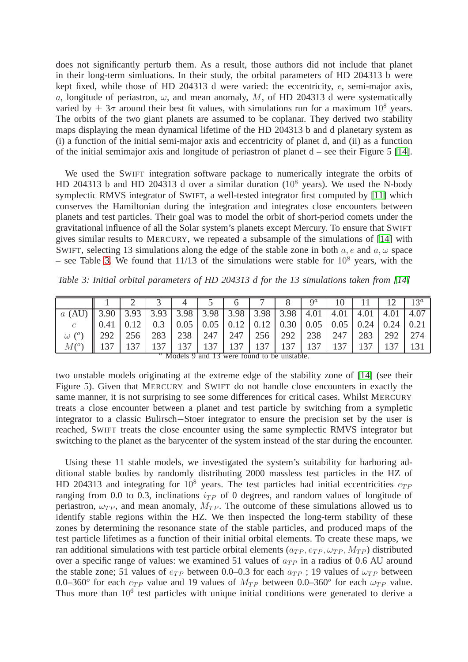does not significantly perturb them. As a result, those authors did not include that planet in their long-term simluations. In their study, the orbital parameters of HD 204313 b were kept fixed, while those of HD 204313 d were varied: the eccentricity, e, semi-major axis, a, longitude of periastron,  $\omega$ , and mean anomaly, M, of HD 204313 d were systematically varied by  $\pm$  3 $\sigma$  around their best fit values, with simulations run for a maximum 10<sup>8</sup> years. The orbits of the two giant planets are assumed to be coplanar. They derived two stability maps displaying the mean dynamical lifetime of the HD 204313 b and d planetary system as (i) a function of the initial semi-major axis and eccentricity of planet d, and (ii) as a function of the initial semimajor axis and longitude of periastron of planet d – see their Figure 5 [\[14\]](#page-11-4).

We used the SWIFT integration software package to numerically integrate the orbits of HD 204313 b and HD 204313 d over a similar duration  $(10^8 \text{ years})$ . We used the N-body symplectic RMVS integrator of SWIFT, a well-tested integrator first computed by [\[11\]](#page-11-1) which conserves the Hamiltonian during the integration and integrates close encounters between planets and test particles. Their goal was to model the orbit of short-period comets under the gravitational influence of all the Solar system's planets except Mercury. To ensure that SWIFT gives similar results to MERCURY, we repeated a subsample of the simulations of [\[14\]](#page-11-4) with SWIFT, selecting 13 simulations along the edge of the stable zone in both  $a, e$  and  $a, \omega$  space – see Table [3.](#page-4-0) We found that  $11/13$  of the simulations were stable for  $10^8$  years, with the

<span id="page-4-0"></span>*Table 3: Initial orbital parameters of HD 204313 d for the 13 simulations taken from [\[14\]](#page-11-4)* 

|                                                                                              |      |                                                                                                                                      |     |     |                 |     |     |                  | $Q^a$ |     |     |     | 13 <sup>a</sup> |
|----------------------------------------------------------------------------------------------|------|--------------------------------------------------------------------------------------------------------------------------------------|-----|-----|-----------------|-----|-----|------------------|-------|-----|-----|-----|-----------------|
| $a$ (AU)   3.90   3.93   3.93   3.98   3.98   3.98   3.98   3.98   4.01   4.01   4.01   4.01 |      |                                                                                                                                      |     |     |                 |     |     |                  |       |     |     |     | 4.07            |
|                                                                                              | 0.41 | $\vert 0.12 \vert 0.3 \vert 0.05 \vert 0.05 \vert 0.12 \vert 0.12 \vert 0.30 \vert 0.05 \vert 0.05 \vert 0.24 \vert 0.24 \vert 0.21$ |     |     |                 |     |     |                  |       |     |     |     |                 |
| $\omega$ ( $^{\circ}$ )                                                                      | 292  | 256                                                                                                                                  | 283 |     | 238 247 247 256 |     |     | 292 238          |       | 247 | 283 | 292 | 274             |
| $M({}^o)$                                                                                    |      |                                                                                                                                      |     | 137 | 137 I           | 137 | 137 | 137 <sub>1</sub> | 137   |     |     |     |                 |

|  |  |  |  |  | <sup>a</sup> Models 9 and 13 were found to be unstable. |  |
|--|--|--|--|--|---------------------------------------------------------|--|

two unstable models originating at the extreme edge of the stability zone of [\[14\]](#page-11-4) (see their Figure 5). Given that MERCURY and SWIFT do not handle close encounters in exactly the same manner, it is not surprising to see some differences for critical cases. Whilst MERCURY treats a close encounter between a planet and test particle by switching from a sympletic integrator to a classic Bulirsch−Stoer integrator to ensure the precision set by the user is reached, SWIFT treats the close encounter using the same symplectic RMVS integrator but switching to the planet as the barycenter of the system instead of the star during the encounter.

Using these 11 stable models, we investigated the system's suitability for harboring additional stable bodies by randomly distributing 2000 massless test particles in the HZ of HD 204313 and integrating for  $10^8$  years. The test particles had initial eccentricities  $e_{TP}$ ranging from 0.0 to 0.3, inclinations  $i_{TP}$  of 0 degrees, and random values of longitude of periastron,  $\omega_{TP}$ , and mean anomaly,  $M_{TP}$ . The outcome of these simulations allowed us to identify stable regions within the HZ. We then inspected the long-term stability of these zones by determining the resonance state of the stable particles, and produced maps of the test particle lifetimes as a function of their initial orbital elements. To create these maps, we ran additional simulations with test particle orbital elements ( $a_{TP}, e_{TP}, \omega_{TP}, M_{TP}$ ) distributed over a specific range of values: we examined 51 values of  $a_{TP}$  in a radius of 0.6 AU around the stable zone; 51 values of  $e_{TP}$  between 0.0–0.3 for each  $a_{TP}$ ; 19 values of  $\omega_{TP}$  between 0.0–360° for each  $e_{TP}$  value and 19 values of  $M_{TP}$  between 0.0–360° for each  $\omega_{TP}$  value. Thus more than  $10<sup>6</sup>$  test particles with unique initial conditions were generated to derive a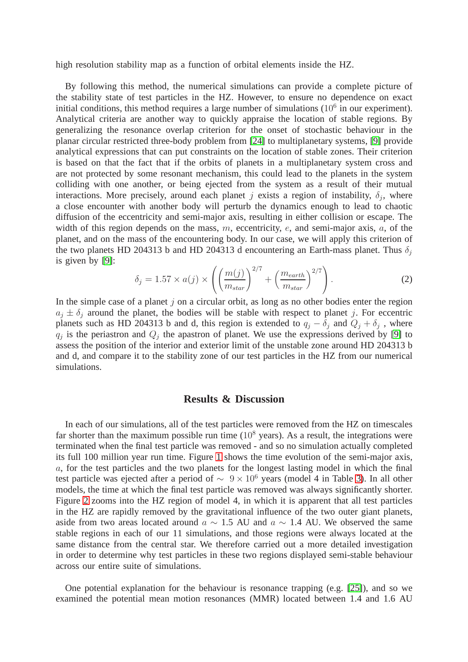high resolution stability map as a function of orbital elements inside the HZ.

By following this method, the numerical simulations can provide a complete picture of the stability state of test particles in the HZ. However, to ensure no dependence on exact initial conditions, this method requires a large number of simulations  $(10^6 \text{ in our experiment})$ . Analytical criteria are another way to quickly appraise the location of stable regions. By generalizing the resonance overlap criterion for the onset of stochastic behaviour in the planar circular restricted three-body problem from [\[24\]](#page-11-14) to multiplanetary systems, [\[9\]](#page-10-8) provide analytical expressions that can put constraints on the location of stable zones. Their criterion is based on that the fact that if the orbits of planets in a multiplanetary system cross and are not protected by some resonant mechanism, this could lead to the planets in the system colliding with one another, or being ejected from the system as a result of their mutual interactions. More precisely, around each planet j exists a region of instability,  $\delta_j$ , where a close encounter with another body will perturb the dynamics enough to lead to chaotic diffusion of the eccentricity and semi-major axis, resulting in either collision or escape. The width of this region depends on the mass,  $m$ , eccentricity,  $e$ , and semi-major axis,  $a$ , of the planet, and on the mass of the encountering body. In our case, we will apply this criterion of the two planets HD 204313 b and HD 204313 d encountering an Earth-mass planet. Thus  $\delta_i$ is given by [\[9\]](#page-10-8):

$$
\delta_j = 1.57 \times a(j) \times \left( \left( \frac{m(j)}{m_{star}} \right)^{2/7} + \left( \frac{m_{earth}}{m_{star}} \right)^{2/7} \right). \tag{2}
$$

In the simple case of a planet  $j$  on a circular orbit, as long as no other bodies enter the region  $a_j \pm \delta_j$  around the planet, the bodies will be stable with respect to planet j. For eccentric planets such as HD 204313 b and d, this region is extended to  $q_j - \delta_j$  and  $Q_j + \delta_j$ , where  $q_j$  is the periastron and  $Q_j$  the apastron of planet. We use the expressions derived by [\[9\]](#page-10-8) to assess the position of the interior and exterior limit of the unstable zone around HD 204313 b and d, and compare it to the stability zone of our test particles in the HZ from our numerical simulations.

#### **Results & Discussion**

In each of our simulations, all of the test particles were removed from the HZ on timescales far shorter than the maximum possible run time  $(10^8 \text{ years})$ . As a result, the integrations were terminated when the final test particle was removed - and so no simulation actually completed its full 100 million year run time. Figure [1](#page-6-0) shows the time evolution of the semi-major axis, a, for the test particles and the two planets for the longest lasting model in which the final test particle was ejected after a period of  $\sim 9 \times 10^6$  years (model 4 in Table [3\)](#page-4-0). In all other models, the time at which the final test particle was removed was always significantly shorter. Figure [2](#page-6-1) zooms into the HZ region of model 4, in which it is apparent that all test particles in the HZ are rapidly removed by the gravitational influence of the two outer giant planets, aside from two areas located around  $a \sim 1.5$  AU and  $a \sim 1.4$  AU. We observed the same stable regions in each of our 11 simulations, and those regions were always located at the same distance from the central star. We therefore carried out a more detailed investigation in order to determine why test particles in these two regions displayed semi-stable behaviour across our entire suite of simulations.

One potential explanation for the behaviour is resonance trapping (e.g. [\[25\]](#page-11-15)), and so we examined the potential mean motion resonances (MMR) located between 1.4 and 1.6 AU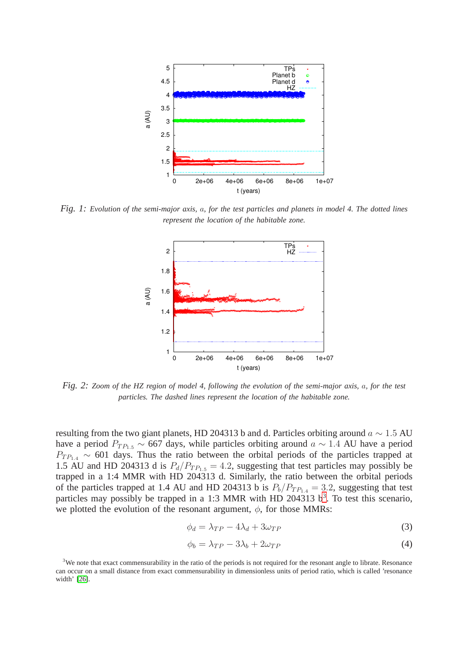

<span id="page-6-0"></span>*Fig. 1: Evolution of the semi-major axis,* a*, for the test particles and planets in model 4. The dotted lines represent the location of the habitable zone.*



<span id="page-6-1"></span>*Fig. 2: Zoom of the HZ region of model 4, following the evolution of the semi-major axis,* a*, for the test particles. The dashed lines represent the location of the habitable zone.*

resulting from the two giant planets, HD 204313 b and d. Particles orbiting around  $a \sim 1.5$  AU have a period  $P_{TP_{1.5}} \sim 667$  days, while particles orbiting around  $a \sim 1.4$  AU have a period  $P_{TP_{1,4}} \sim 601$  days. Thus the ratio between the orbital periods of the particles trapped at 1.5 AU and HD 204313 d is  $P_d/P_{TP_{1.5}} = 4.2$ , suggesting that test particles may possibly be trapped in a 1:4 MMR with HD 204313 d. Similarly, the ratio between the orbital periods of the particles trapped at 1.4 AU and HD 204313 b is  $P_b/P_{TP_{1.4}} = 3.2$ , suggesting that test particles may possibly be trapped in a 1:[3](#page-6-2) MMR with HD 204313  $b^3$ . To test this scenario, we plotted the evolution of the resonant argument,  $\phi$ , for those MMRs:

<span id="page-6-3"></span>
$$
\phi_d = \lambda_{TP} - 4\lambda_d + 3\omega_{TP} \tag{3}
$$

<span id="page-6-4"></span>
$$
\phi_b = \lambda_{TP} - 3\lambda_b + 2\omega_{TP} \tag{4}
$$

<span id="page-6-2"></span><sup>&</sup>lt;sup>3</sup>We note that exact commensurability in the ratio of the periods is not required for the resonant angle to librate. Resonance can occur on a small distance from exact commensurability in dimensionless units of period ratio, which is called 'resonance width' [\[26\]](#page-12-0).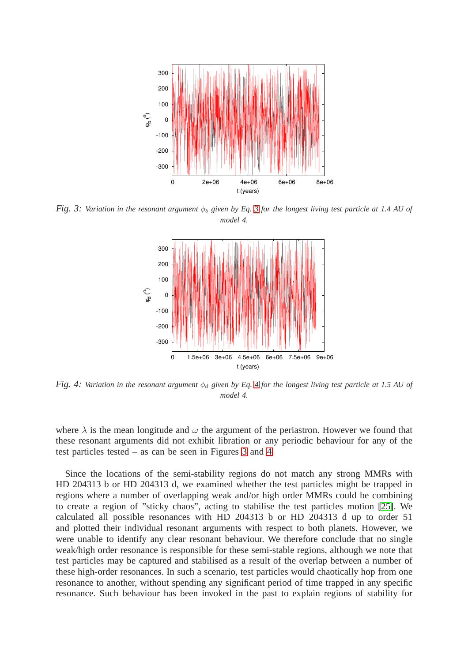

<span id="page-7-0"></span>*Fig. [3](#page-6-3): Variation in the resonant argument*  $\phi_b$  *given by Eq. 3 for the longest living test particle at 1.4 AU of model 4.*



<span id="page-7-1"></span>*Fig. [4](#page-6-4): Variation in the resonant argument*  $\phi_d$  *given by Eq. 4 for the longest living test particle at 1.5 AU of model 4.*

where  $\lambda$  is the mean longitude and  $\omega$  the argument of the periastron. However we found that these resonant arguments did not exhibit libration or any periodic behaviour for any of the test particles tested – as can be seen in Figures [3](#page-7-0) and [4.](#page-7-1)

Since the locations of the semi-stability regions do not match any strong MMRs with HD 204313 b or HD 204313 d, we examined whether the test particles might be trapped in regions where a number of overlapping weak and/or high order MMRs could be combining to create a region of "sticky chaos", acting to stabilise the test particles motion [\[25\]](#page-11-15). We calculated all possible resonances with HD 204313 b or HD 204313 d up to order 51 and plotted their individual resonant arguments with respect to both planets. However, we were unable to identify any clear resonant behaviour. We therefore conclude that no single weak/high order resonance is responsible for these semi-stable regions, although we note that test particles may be captured and stabilised as a result of the overlap between a number of these high-order resonances. In such a scenario, test particles would chaotically hop from one resonance to another, without spending any significant period of time trapped in any specific resonance. Such behaviour has been invoked in the past to explain regions of stability for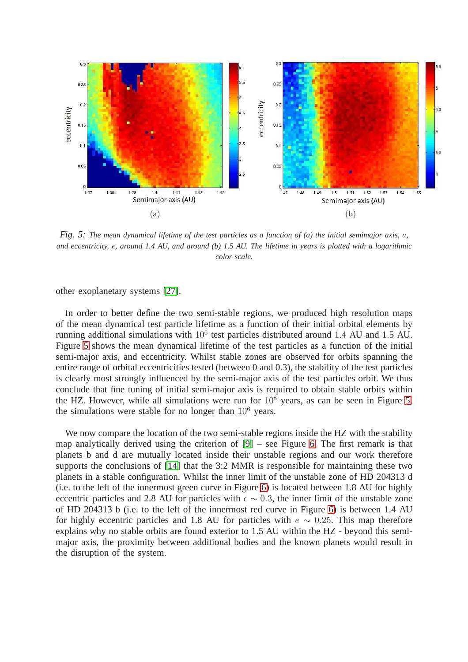

<span id="page-8-0"></span>*Fig. 5: The mean dynamical lifetime of the test particles as a function of (a) the initial semimajor axis,* a*, and eccentricity,* e*, around 1.4 AU, and around (b) 1.5 AU. The lifetime in years is plotted with a logarithmic color scale.*

other exoplanetary systems [\[27\]](#page-12-1).

In order to better define the two semi-stable regions, we produced high resolution maps of the mean dynamical test particle lifetime as a function of their initial orbital elements by running additional simulations with  $10^6$  test particles distributed around 1.4 AU and 1.5 AU. Figure [5](#page-8-0) shows the mean dynamical lifetime of the test particles as a function of the initial semi-major axis, and eccentricity. Whilst stable zones are observed for orbits spanning the entire range of orbital eccentricities tested (between 0 and 0.3), the stability of the test particles is clearly most strongly influenced by the semi-major axis of the test particles orbit. We thus conclude that fine tuning of initial semi-major axis is required to obtain stable orbits within the HZ. However, while all simulations were run for  $10^8$  years, as can be seen in Figure [5,](#page-8-0) the simulations were stable for no longer than  $10^6$  years.

We now compare the location of the two semi-stable regions inside the HZ with the stability map analytically derived using the criterion of [\[9\]](#page-10-8) – see Figure [6.](#page-9-0) The first remark is that planets b and d are mutually located inside their unstable regions and our work therefore supports the conclusions of [\[14\]](#page-11-4) that the 3:2 MMR is responsible for maintaining these two planets in a stable configuration. Whilst the inner limit of the unstable zone of HD 204313 d (i.e. to the left of the innermost green curve in Figure [6\)](#page-9-0) is located between 1.8 AU for highly eccentric particles and 2.8 AU for particles with  $e \sim 0.3$ , the inner limit of the unstable zone of HD 204313 b (i.e. to the left of the innermost red curve in Figure [6\)](#page-9-0) is between 1.4 AU for highly eccentric particles and 1.8 AU for particles with  $e \sim 0.25$ . This map therefore explains why no stable orbits are found exterior to 1.5 AU within the HZ - beyond this semimajor axis, the proximity between additional bodies and the known planets would result in the disruption of the system.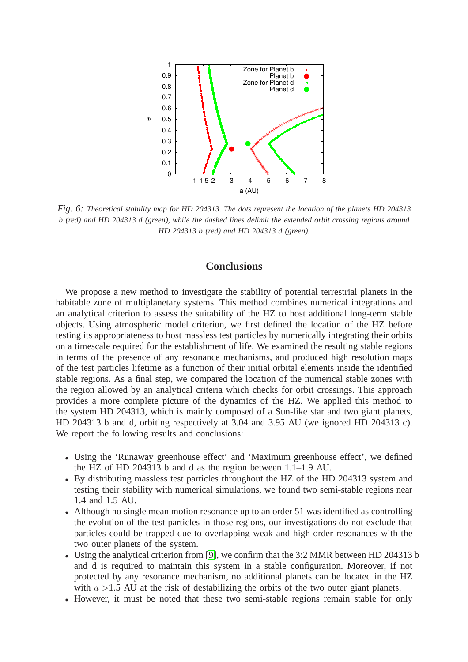

<span id="page-9-0"></span>*Fig. 6: Theoretical stability map for HD 204313. The dots represent the location of the planets HD 204313 b (red) and HD 204313 d (green), while the dashed lines delimit the extended orbit crossing regions around HD 204313 b (red) and HD 204313 d (green).*

# **Conclusions**

We propose a new method to investigate the stability of potential terrestrial planets in the habitable zone of multiplanetary systems. This method combines numerical integrations and an analytical criterion to assess the suitability of the HZ to host additional long-term stable objects. Using atmospheric model criterion, we first defined the location of the HZ before testing its appropriateness to host massless test particles by numerically integrating their orbits on a timescale required for the establishment of life. We examined the resulting stable regions in terms of the presence of any resonance mechanisms, and produced high resolution maps of the test particles lifetime as a function of their initial orbital elements inside the identified stable regions. As a final step, we compared the location of the numerical stable zones with the region allowed by an analytical criteria which checks for orbit crossings. This approach provides a more complete picture of the dynamics of the HZ. We applied this method to the system HD 204313, which is mainly composed of a Sun-like star and two giant planets, HD 204313 b and d, orbiting respectively at 3.04 and 3.95 AU (we ignored HD 204313 c). We report the following results and conclusions:

- Using the 'Runaway greenhouse effect' and 'Maximum greenhouse effect', we defined the HZ of HD 204313 b and d as the region between 1.1–1.9 AU.
- By distributing massless test particles throughout the HZ of the HD 204313 system and testing their stability with numerical simulations, we found two semi-stable regions near 1.4 and 1.5 AU.
- Although no single mean motion resonance up to an order 51 was identified as controlling the evolution of the test particles in those regions, our investigations do not exclude that particles could be trapped due to overlapping weak and high-order resonances with the two outer planets of the system.
- Using the analytical criterion from [\[9\]](#page-10-8), we confirm that the 3:2 MMR between HD 204313 b and d is required to maintain this system in a stable configuration. Moreover, if not protected by any resonance mechanism, no additional planets can be located in the HZ with  $a > 1.5$  AU at the risk of destabilizing the orbits of the two outer giant planets.
- However, it must be noted that these two semi-stable regions remain stable for only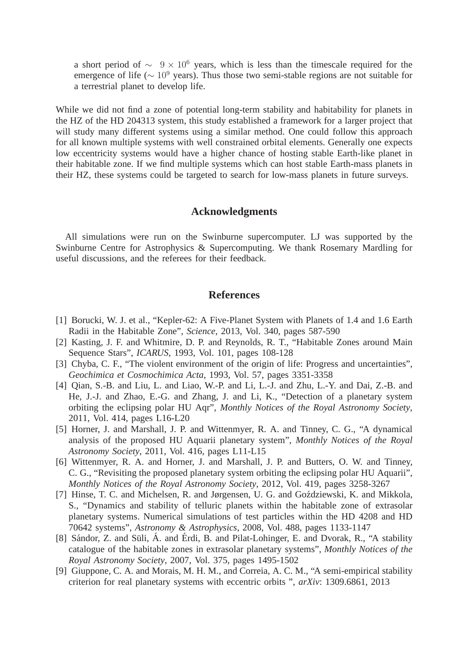a short period of  $\sim$  9 × 10<sup>6</sup> years, which is less than the timescale required for the emergence of life ( $\sim 10^9$  years). Thus those two semi-stable regions are not suitable for a terrestrial planet to develop life.

While we did not find a zone of potential long-term stability and habitability for planets in the HZ of the HD 204313 system, this study established a framework for a larger project that will study many different systems using a similar method. One could follow this approach for all known multiple systems with well constrained orbital elements. Generally one expects low eccentricity systems would have a higher chance of hosting stable Earth-like planet in their habitable zone. If we find multiple systems which can host stable Earth-mass planets in their HZ, these systems could be targeted to search for low-mass planets in future surveys.

# **Acknowledgments**

All simulations were run on the Swinburne supercomputer. LJ was supported by the Swinburne Centre for Astrophysics & Supercomputing. We thank Rosemary Mardling for useful discussions, and the referees for their feedback.

# **References**

- <span id="page-10-0"></span>[1] Borucki, W. J. et al., "Kepler-62: A Five-Planet System with Planets of 1.4 and 1.6 Earth Radii in the Habitable Zone", *Science*, 2013, Vol. 340, pages 587-590
- <span id="page-10-1"></span>[2] Kasting, J. F. and Whitmire, D. P. and Reynolds, R. T., "Habitable Zones around Main Sequence Stars", *ICARUS*, 1993, Vol. 101, pages 108-128
- <span id="page-10-2"></span>[3] Chyba, C. F., "The violent environment of the origin of life: Progress and uncertainties", *Geochimica et Cosmochimica Acta*, 1993, Vol. 57, pages 3351-3358
- <span id="page-10-3"></span>[4] Qian, S.-B. and Liu, L. and Liao, W.-P. and Li, L.-J. and Zhu, L.-Y. and Dai, Z.-B. and He, J.-J. and Zhao, E.-G. and Zhang, J. and Li, K., "Detection of a planetary system orbiting the eclipsing polar HU Aqr", *Monthly Notices of the Royal Astronomy Society*, 2011, Vol. 414, pages L16-L20
- <span id="page-10-4"></span>[5] Horner, J. and Marshall, J. P. and Wittenmyer, R. A. and Tinney, C. G., "A dynamical analysis of the proposed HU Aquarii planetary system", *Monthly Notices of the Royal Astronomy Society*, 2011, Vol. 416, pages L11-L15
- <span id="page-10-5"></span>[6] Wittenmyer, R. A. and Horner, J. and Marshall, J. P. and Butters, O. W. and Tinney, C. G., "Revisiting the proposed planetary system orbiting the eclipsing polar HU Aquarii", *Monthly Notices of the Royal Astronomy Society*, 2012, Vol. 419, pages 3258-3267
- <span id="page-10-6"></span>[7] Hinse, T. C. and Michelsen, R. and Jørgensen, U. G. and Goździewski, K. and Mikkola, S., "Dynamics and stability of telluric planets within the habitable zone of extrasolar planetary systems. Numerical simulations of test particles within the HD 4208 and HD 70642 systems", *Astronomy & Astrophysics*, 2008, Vol. 488, pages 1133-1147
- <span id="page-10-7"></span>[8] Sándor, Z. and Süli, Á. and Érdi, B. and Pilat-Lohinger, E. and Dvorak, R., "A stability catalogue of the habitable zones in extrasolar planetary systems", *Monthly Notices of the Royal Astronomy Society*, 2007, Vol. 375, pages 1495-1502
- <span id="page-10-8"></span>[9] Giuppone, C. A. and Morais, M. H. M., and Correia, A. C. M., "A semi-empirical stability criterion for real planetary systems with eccentric orbits ", *arXiv*: 1309.6861, 2013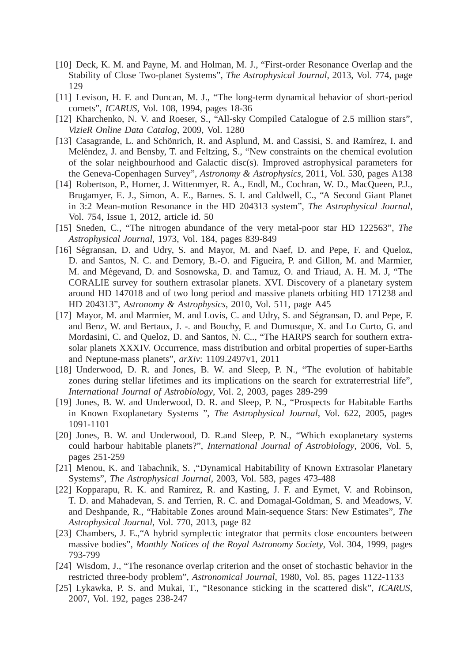- <span id="page-11-0"></span>[10] Deck, K. M. and Payne, M. and Holman, M. J., "First-order Resonance Overlap and the Stability of Close Two-planet Systems", *The Astrophysical Journal*, 2013, Vol. 774, page 129
- <span id="page-11-2"></span><span id="page-11-1"></span>[11] Levison, H. F. and Duncan, M. J., "The long-term dynamical behavior of short-period comets", *ICARUS*, Vol. 108, 1994, pages 18-36
- [12] Kharchenko, N. V. and Roeser, S., "All-sky Compiled Catalogue of 2.5 million stars", *VizieR Online Data Catalog*, 2009, Vol. 1280
- <span id="page-11-3"></span>[13] Casagrande, L. and Schönrich, R. and Asplund, M. and Cassisi, S. and Ramírez, I. and Meléndez, J. and Bensby, T. and Feltzing, S., "New constraints on the chemical evolution of the solar neighbourhood and Galactic disc(s). Improved astrophysical parameters for the Geneva-Copenhagen Survey", *Astronomy & Astrophysics*, 2011, Vol. 530, pages A138
- <span id="page-11-4"></span>[14] Robertson, P., Horner, J. Wittenmyer, R. A., Endl, M., Cochran, W. D., MacQueen, P.J., Brugamyer, E. J., Simon, A. E., Barnes. S. I. and Caldwell, C., "A Second Giant Planet in 3:2 Mean-motion Resonance in the HD 204313 system", *The Astrophysical Journal*, Vol. 754, Issue 1, 2012, article id. 50
- <span id="page-11-6"></span><span id="page-11-5"></span>[15] Sneden, C., "The nitrogen abundance of the very metal-poor star HD 122563", *The Astrophysical Journal*, 1973, Vol. 184, pages 839-849
- [16] Ségransan, D. and Udry, S. and Mayor, M. and Naef, D. and Pepe, F. and Queloz, D. and Santos, N. C. and Demory, B.-O. and Figueira, P. and Gillon, M. and Marmier, M. and Mégevand, D. and Sosnowska, D. and Tamuz, O. and Triaud, A. H. M. J, "The CORALIE survey for southern extrasolar planets. XVI. Discovery of a planetary system around HD 147018 and of two long period and massive planets orbiting HD 171238 and HD 204313", *Astronomy & Astrophysics*, 2010, Vol. 511, page A45
- <span id="page-11-7"></span>[17] Mayor, M. and Marmier, M. and Lovis, C. and Udry, S. and Ségransan, D. and Pepe, F. and Benz, W. and Bertaux, J. -. and Bouchy, F. and Dumusque, X. and Lo Curto, G. and Mordasini, C. and Queloz, D. and Santos, N. C.., "The HARPS search for southern extrasolar planets XXXIV. Occurrence, mass distribution and orbital properties of super-Earths and Neptune-mass planets", *arXiv*: 1109.2497v1, 2011
- <span id="page-11-8"></span>[18] Underwood, D. R. and Jones, B. W. and Sleep, P. N., "The evolution of habitable zones during stellar lifetimes and its implications on the search for extraterrestrial life", *International Journal of Astrobiology*, Vol. 2, 2003, pages 289-299
- <span id="page-11-9"></span>[19] Jones, B. W. and Underwood, D. R. and Sleep, P. N., "Prospects for Habitable Earths in Known Exoplanetary Systems ", *The Astrophysical Journal*, Vol. 622, 2005, pages 1091-1101
- <span id="page-11-10"></span>[20] Jones, B. W. and Underwood, D. R.and Sleep, P. N., "Which exoplanetary systems could harbour habitable planets?", *International Journal of Astrobiology*, 2006, Vol. 5, pages 251-259
- <span id="page-11-11"></span>[21] Menou, K. and Tabachnik, S. ,"Dynamical Habitability of Known Extrasolar Planetary Systems", *The Astrophysical Journal*, 2003, Vol. 583, pages 473-488
- <span id="page-11-12"></span>[22] Kopparapu, R. K. and Ramirez, R. and Kasting, J. F. and Eymet, V. and Robinson, T. D. and Mahadevan, S. and Terrien, R. C. and Domagal-Goldman, S. and Meadows, V. and Deshpande, R., "Habitable Zones around Main-sequence Stars: New Estimates", *The Astrophysical Journal*, Vol. 770, 2013, page 82
- <span id="page-11-13"></span>[23] Chambers, J. E., "A hybrid symplectic integrator that permits close encounters between massive bodies", *Monthly Notices of the Royal Astronomy Society*, Vol. 304, 1999, pages 793-799
- <span id="page-11-14"></span>[24] Wisdom, J., "The resonance overlap criterion and the onset of stochastic behavior in the restricted three-body problem", *Astronomical Journal*, 1980, Vol. 85, pages 1122-1133
- <span id="page-11-15"></span>[25] Lykawka, P. S. and Mukai, T., "Resonance sticking in the scattered disk", *ICARUS*, 2007, Vol. 192, pages 238-247